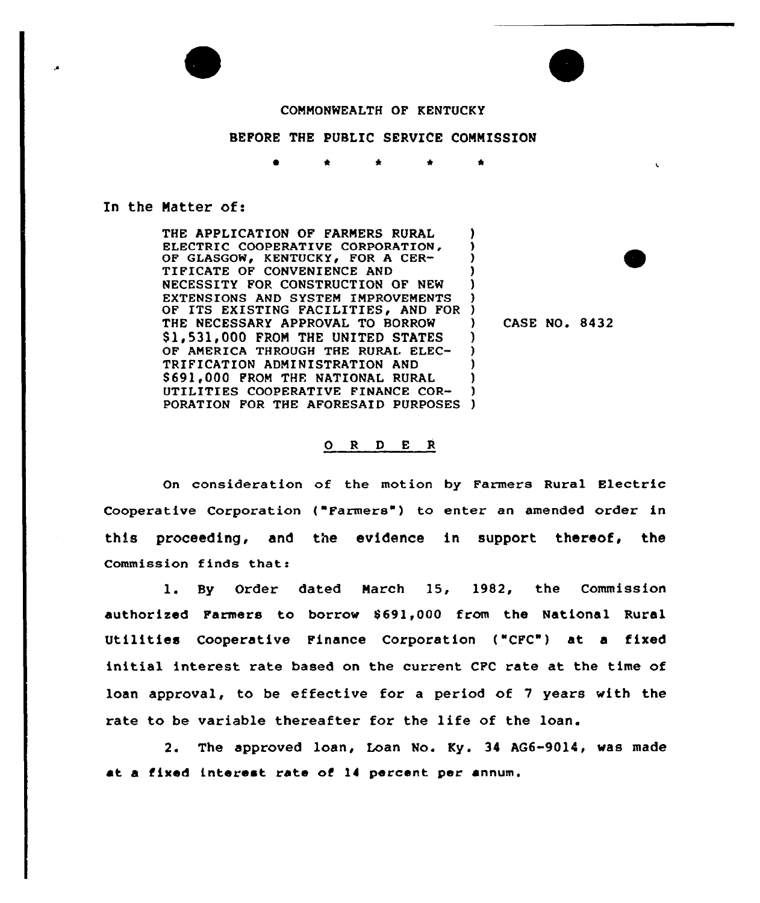

## COMMONWEALTH OF KENTUCKY

## BEFORE THE PUBLIC SERVICE COMMISSION

## In the Natter of:

THE APPLICATION OF FARMERS RURAL ELECTRIC COOPERATIVE CORPORATION, OF GLASGOW, KENTUCKY, FOR A CER-TIFICATE OF CONVENIENCE AND NECESSITY FOR CONSTRUCTION OF NEW EXTENSIONS AND SYSTEM IMPROVEMENTS EXTENSIONS AND SYSTEM IMPROVEMENTS<br>OF ITS EXISTING FACILITIES, AND FOR ) THE NECESSARY APPROVAL TO BORROW Sli531,000 FROM THE UNITED STATES OF AMERICA THROUGH THE RURAL ELEC-TRIFICATION ADMINISTRATION AND \$691,000 FROM THE NATIONAL RURAL UTILITIES COOPERATIVE FINANCE COR-PORATION FOR THE AFORESAID PURPOSES ) ) ) ) ) 3 ) 3 ) ) ) )

) CASE NO. 8432

## O R D E R

On consideration of the motion by Farmers Rural Electric Cooperative Corporation ("Farmers") to enter an amended order in this proceeding, and the evidence in support thereof, the Commission finds that:

l. By Order dated March 15, 1982, the Commission authorised Farmers to borrow 8691,000 from the National Rural Utilities Cooperative Finance Corporation ("CFC") at <sup>a</sup> fixed initial interest rate based on the current CFC rate at the time of loan approval, to be effective for a period of <sup>7</sup> years with the rate to be variable thereafter for the life of the loan.

2. The approved loan, Loan No. Ky. 34 AG6-9014, was made at a fixed interest rate of 14 percent per annum.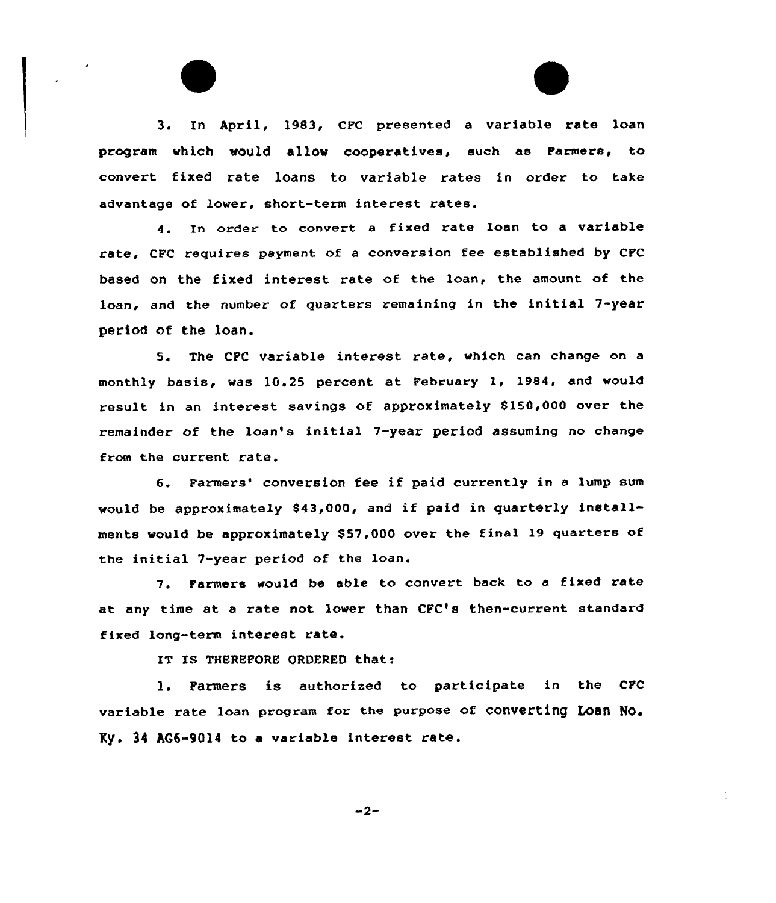3. In April, 1983, CPC presented a variable rate loan program which would allow cooperatives, such as Parmers, to convert fixed rate loans to variable rates in order to take advantage of lower, short-term interest rates.

4. In order to convert a fixed rate loan to a variable rate, CPC requires payment of a conversion fee established by CFC based on the fixed interest rate of the loan, the amount of the loan, and the number of quarters remaining in the initial 7-year period of the loan.

5. The CPC variable interest rate, which can change on <sup>a</sup> monthly basis, was 10.25 percent at February 1, 1984, and wou1d result in an interest savings of approximately 8150,000 over the remainder of the loan's initial 7-year period assuming no change from the current rate.

6. Parmers'onversion fee if paid currently in <sup>a</sup> lump sum would be approximately 843,000, and if paid in quarterly installments would be approximately \$57,000 over the final 19 quarters of the initial 7-year period of the loan.

7. Farmers would be able to convert back to a fixed rate at any time at a rate not lower than CPC's then-current standard fixed long-term interest rate.

IT IS THEREFORE ORDERED that:

1. Farmers is authorized to participate in the CPC variable rate loan program for the purpose of converting Loan No. Ky. 34 AG6-9014 to a variable interest rate.

 $-2-$